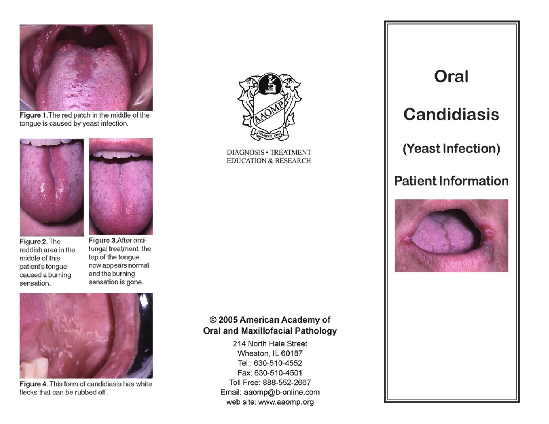

Figure 1. The red patch in the middle of the tongue is caused by yeast infection.





Figure 2. The reddish area in the middle of this patient's tongue caused a burning sensation.





Figure 4. This form of candidiasis has white flecks that can be rubbed off.



**DIAGNOSIS · TREATMENT EDUCATION & RESEARCH** 

# @ 2005 American Academy of Oral and Maxillofacial Pathology

214 North Hale Street Wheaton, IL 60187 Tel.: 630-510-4552 Fax: 630-510-4501 Toll Free: 888-552-2667 Email: aaomp@b-online.com web site: www.aaomp.org